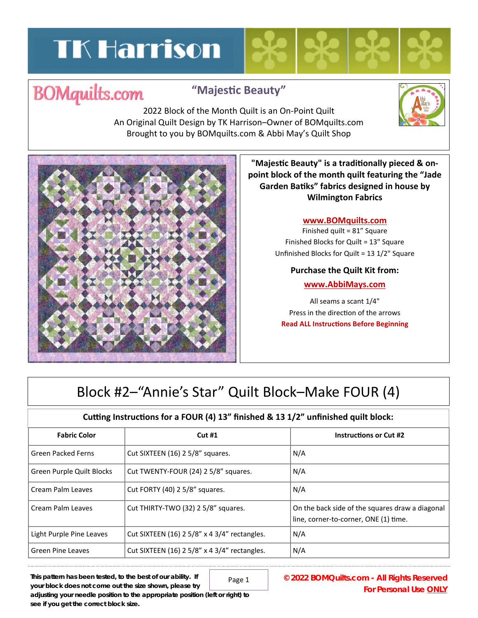# **TK Harrison**

# **BOMquilts.com**

### **"MajesƟc Beauty"**

2022 Block of the Month Quilt is an On‐Point Quilt An Original Quilt Design by TK Harrison–Owner of BOMquilts.com Brought to you by BOMquilts.com & Abbi May's Quilt Shop



**"MajesƟc Beauty" is a tradiƟonally pieced & on‐ point block of the month quilt featuring the "Jade Garden BaƟks" fabrics designed in house by Wilmington Fabrics**

#### **www.BOMquilts.com**

Finished quilt = 81" Square Finished Blocks for Quilt = 13" Square Unfinished Blocks for Quilt = 13 1/2" Square

#### **Purchase the Quilt Kit from:**

#### **www.AbbiMays.com**

All seams a scant 1/4" Press in the direction of the arrows **Read ALL Instructions Before Beginning** 

## Block #2–"Annie's Star" Quilt Block–Make FOUR (4)

### **Cuƫng InstrucƟons for a FOUR (4) 13" finished & 13 1/2" unfinished quilt block:**

| <b>Fabric Color</b>       | Cut#1                                        | <b>Instructions or Cut #2</b>                                                            |
|---------------------------|----------------------------------------------|------------------------------------------------------------------------------------------|
| Green Packed Ferns        | Cut SIXTEEN (16) 2 5/8" squares.             | N/A                                                                                      |
| Green Purple Quilt Blocks | Cut TWENTY-FOUR (24) 2 5/8" squares.         | N/A                                                                                      |
| Cream Palm Leaves         | Cut FORTY (40) 2 5/8" squares.               | N/A                                                                                      |
| Cream Palm Leaves         | Cut THIRTY-TWO (32) 2 5/8" squares.          | On the back side of the squares draw a diagonal<br>line, corner-to-corner, ONE (1) time. |
| Light Purple Pine Leaves  | Cut SIXTEEN (16) 2 5/8" x 4 3/4" rectangles. | N/A                                                                                      |
| Green Pine Leaves         | Cut SIXTEEN (16) 2 5/8" x 4 3/4" rectangles. | N/A                                                                                      |

Page 1

**This pattern has been tested, to the best of our ability. If your block does not come out the size shown, please try adjusting your needle position to the appropriate position (left or right) to see if you get the correct block size.** 

**© 2022 BOMQuilts.com - All Rights Reserved For Personal Use ONLY**